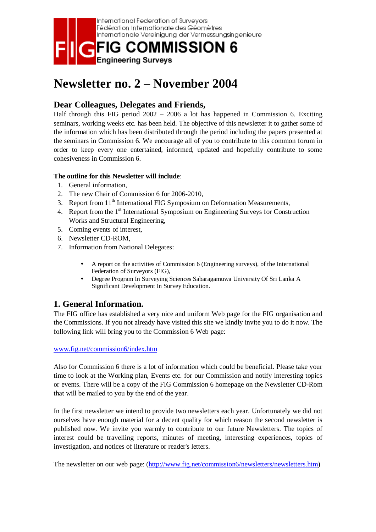

# **Newsletter no. 2 – November 2004**

## **Dear Colleagues, Delegates and Friends,**

Half through this FIG period 2002 – 2006 a lot has happened in Commission 6. Exciting seminars, working weeks etc. has been held. The objective of this newsletter it to gather some of the information which has been distributed through the period including the papers presented at the seminars in Commission 6. We encourage all of you to contribute to this common forum in order to keep every one entertained, informed, updated and hopefully contribute to some cohesiveness in Commission 6.

#### **The outline for this Newsletter will include**:

- 1. General information,
- 2. The new Chair of Commission 6 for 2006-2010,
- 3. Report from 11<sup>th</sup> International FIG Symposium on Deformation Measurements,
- 4. Report from the 1<sup>st</sup> International Symposium on Engineering Surveys for Construction Works and Structural Engineering,
- 5. Coming events of interest,
- 6. Newsletter CD-ROM,
- 7. Information from National Delegates:
	- A report on the activities of Commission 6 (Engineering surveys), of the International Federation of Surveyors (FIG),
	- Degree Program In Surveying Sciences Sabaragamuwa University Of Sri Lanka A Significant Development In Survey Education.

## **1. General Information.**

The FIG office has established a very nice and uniform Web page for the FIG organisation and the Commissions. If you not already have visited this site we kindly invite you to do it now. The following link will bring you to the Commission 6 Web page:

www.fig.net/commission6/index.htm

Also for Commission 6 there is a lot of information which could be beneficial. Please take your time to look at the Working plan, Events etc. for our Commission and notify interesting topics or events. There will be a copy of the FIG Commission 6 homepage on the Newsletter CD-Rom that will be mailed to you by the end of the year.

In the first newsletter we intend to provide two newsletters each year. Unfortunately we did not ourselves have enough material for a decent quality for which reason the second newsletter is published now. We invite you warmly to contribute to our future Newsletters. The topics of interest could be travelling reports, minutes of meeting, interesting experiences, topics of investigation, and notices of literature or reader's letters.

The newsletter on our web page: (http://www.fig.net/commission6/newsletters/newsletters.htm)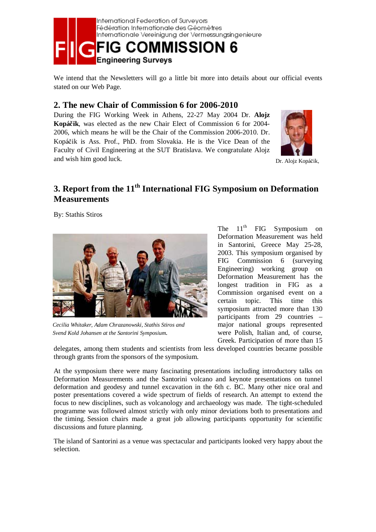

We intend that the Newsletters will go a little bit more into details about our official events stated on our Web Page.

### **2. The new Chair of Commission 6 for 2006-2010**

During the FIG Working Week in Athens, 22-27 May 2004 Dr. **Alojz Kopá**č**ik**, was elected as the new Chair Elect of Commission 6 for 2004- 2006, which means he will be the Chair of the Commission 2006-2010. Dr. Kopáčik is Ass. Prof., PhD. from Slovakia. He is the Vice Dean of the Faculty of Civil Engineering at the SUT Bratislava. We congratulate Alojz and wish him good luck.



Dr. Alojz Kopáčik,

## **3. Report from the 11th International FIG Symposium on Deformation Measurements**

By: Stathis Stiros



*Cecilia Whitaker, Adam Chrazanowski, Stathis Stiros and Svend Kold Johansen at the Santorini Symposium*.

The  $11<sup>th</sup>$  FIG Symposium on Deformation Measurement was held in Santorini, Greece May 25-28, 2003. This symposium organised by FIG Commission 6 (surveying Engineering) working group on Deformation Measurement has the longest tradition in FIG as a Commission organised event on a certain topic. This time this symposium attracted more than 130 participants from 29 countries – major national groups represented were Polish, Italian and, of course, Greek. Participation of more than 15

delegates, among them students and scientists from less developed countries became possible through grants from the sponsors of the symposium.

At the symposium there were many fascinating presentations including introductory talks on Deformation Measurements and the Santorini volcano and keynote presentations on tunnel deformation and geodesy and tunnel excavation in the 6th c. BC. Many other nice oral and poster presentations covered a wide spectrum of fields of research. An attempt to extend the focus to new disciplines, such as volcanology and archaeology was made. The tight-scheduled programme was followed almost strictly with only minor deviations both to presentations and the timing. Session chairs made a great job allowing participants opportunity for scientific discussions and future planning.

The island of Santorini as a venue was spectacular and participants looked very happy about the selection.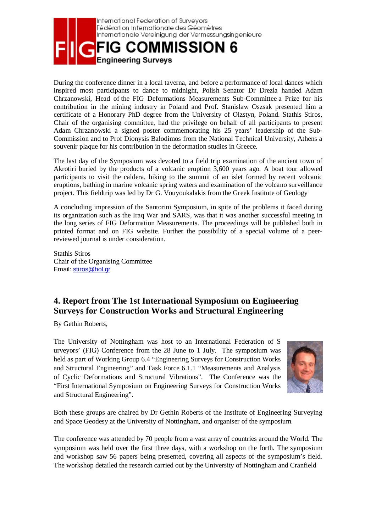

During the conference dinner in a local taverna, and before a performance of local dances which inspired most participants to dance to midnight, Polish Senator Dr Drezla handed Adam Chrzanowski, Head of the FIG Deformations Measurements Sub-Committee a Prize for his contribution in the mining industry in Poland and Prof. Stanislaw Oszsak presented him a certificate of a Honorary PhD degree from the University of Olzstyn, Poland. Stathis Stiros, Chair of the organising committee, had the privilege on behalf of all participants to present Adam Chrzanowski a signed poster commemorating his 25 years' leadership of the Sub-Commission and to Prof Dionysis Balodimos from the National Technical University, Athens a souvenir plaque for his contribution in the deformation studies in Greece.

The last day of the Symposium was devoted to a field trip examination of the ancient town of Akrotiri buried by the products of a volcanic eruption 3,600 years ago. A boat tour allowed participants to visit the caldera, hiking to the summit of an islet formed by recent volcanic eruptions, bathing in marine volcanic spring waters and examination of the volcano surveillance project. This fieldtrip was led by Dr G. Vouyoukalakis from the Greek Institute of Geology

A concluding impression of the Santorini Symposium, in spite of the problems it faced during its organization such as the Iraq War and SARS, was that it was another successful meeting in the long series of FIG Deformation Measurements. The proceedings will be published both in printed format and on FIG website. Further the possibility of a special volume of a peerreviewed journal is under consideration.

Stathis Stiros Chair of the Organising Committee Email: stiros@hol.gr

## **4. Report from The 1st International Symposium on Engineering Surveys for Construction Works and Structural Engineering**

By Gethin Roberts,

The University of Nottingham was host to an International Federation of S urveyors' (FIG) Conference from the 28 June to 1 July. The symposium was held as part of Working Group 6.4 "Engineering Surveys for Construction Works and Structural Engineering" and Task Force 6.1.1 "Measurements and Analysis of Cyclic Deformations and Structural Vibrations". The Conference was the "First International Symposium on Engineering Surveys for Construction Works and Structural Engineering".



Both these groups are chaired by Dr Gethin Roberts of the Institute of Engineering Surveying and Space Geodesy at the University of Nottingham, and organiser of the symposium.

The conference was attended by 70 people from a vast array of countries around the World. The symposium was held over the first three days, with a workshop on the forth. The symposium and workshop saw 56 papers being presented, covering all aspects of the symposium's field. The workshop detailed the research carried out by the University of Nottingham and Cranfield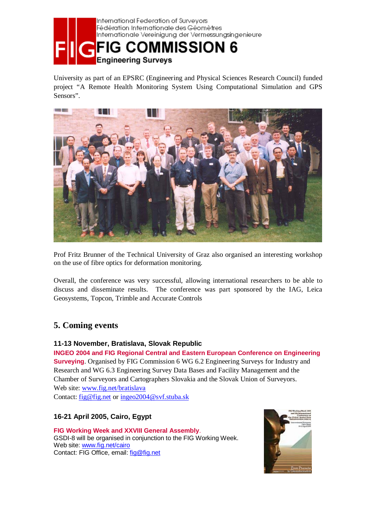

University as part of an EPSRC (Engineering and Physical Sciences Research Council) funded project "A Remote Health Monitoring System Using Computational Simulation and GPS Sensors".



Prof Fritz Brunner of the Technical University of Graz also organised an interesting workshop on the use of fibre optics for deformation monitoring.

Overall, the conference was very successful, allowing international researchers to be able to discuss and disseminate results. The conference was part sponsored by the IAG, Leica Geosystems, Topcon, Trimble and Accurate Controls

## **5. Coming events**

#### **11-13 November, Bratislava, Slovak Republic**

**INGEO 2004 and FIG Regional Central and Eastern European Conference on Engineering Surveying**. Organised by FIG Commission 6 WG 6.2 Engineering Surveys for Industry and Research and WG 6.3 Engineering Survey Data Bases and Facility Management and the Chamber of Surveyors and Cartographers Slovakia and the Slovak Union of Surveyors. Web site: www.fig.net/bratislava

Contact: fig@fig.net or ingeo2004@svf.stuba.sk

### **16-21 April 2005, Cairo, Egypt**

**FIG Working Week and XXVIII General Assembly**. GSDI-8 will be organised in conjunction to the FIG Working Week. Web site: www.fig.net/cairo Contact: FIG Office, email: fig@fig.net

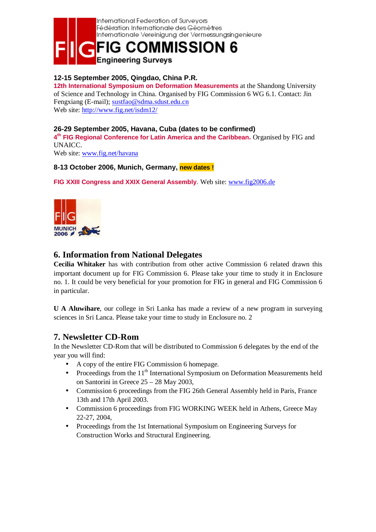

#### **12-15 September 2005, Qingdao, China P.R.**

**12th International Symposium on Deformation Measurements** at the Shandong University of Science and Technology in China. Organised by FIG Commission 6 WG 6.1. Contact: Jin Fengxiang (E-mail); sustfao@sdma.sdust.edu.cn Web site: http://www.fig.net/isdm12/

#### **26-29 September 2005, Havana, Cuba (dates to be confirmed)**

**4th FIG Regional Conference for Latin America and the Caribbean.** Organised by FIG and UNAICC.

Web site: www.fig.net/havana

#### **8-13 October 2006, Munich, Germany, new dates !**

FIG XXIII Congress and XXIX General Assembly. Web site: www.fig2006.de



### **6. Information from National Delegates**

**Cecilia Whitaker** has with contribution from other active Commission 6 related drawn this important document up for FIG Commission 6. Please take your time to study it in Enclosure no. 1. It could be very beneficial for your promotion for FIG in general and FIG Commission 6 in particular.

**U A Aluwihare**, our college in Sri Lanka has made a review of a new program in surveying sciences in Sri Lanca. Please take your time to study in Enclosure no. 2

### **7. Newsletter CD-Rom**

In the Newsletter CD-Rom that will be distributed to Commission 6 delegates by the end of the year you will find:

- A copy of the entire FIG Commission 6 homepage.
- Proceedings from the  $11<sup>th</sup>$  International Symposium on Deformation Measurements held on Santorini in Greece 25 – 28 May 2003,
- Commission 6 proceedings from the FIG 26th General Assembly held in Paris, France 13th and 17th April 2003.
- Commission 6 proceedings from FIG WORKING WEEK held in Athens, Greece May 22-27, 2004,
- Proceedings from the 1st International Symposium on Engineering Surveys for Construction Works and Structural Engineering.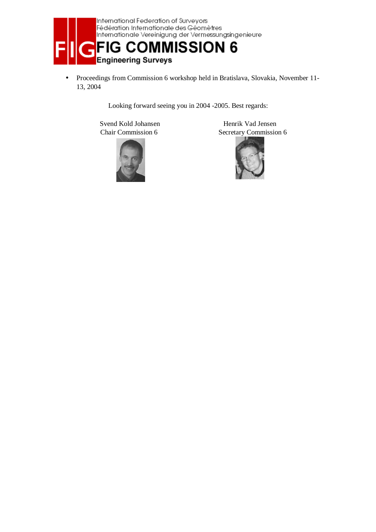

• Proceedings from Commission 6 workshop held in Bratislava, Slovakia, November 11- 13, 2004

Looking forward seeing you in 2004 -2005. Best regards:

Svend Kold Johansen Henrik Vad Jensen



Chair Commission 6 Secretary Commission 6

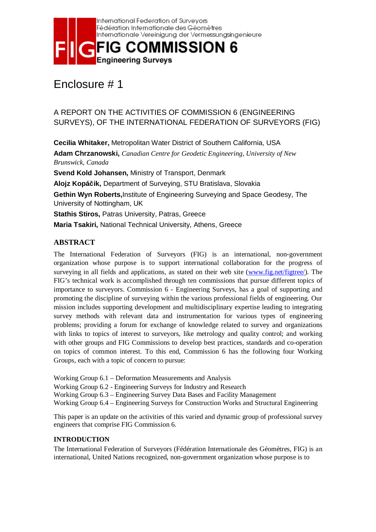

## Enclosure # 1

## A REPORT ON THE ACTIVITIES OF COMMISSION 6 (ENGINEERING SURVEYS), OF THE INTERNATIONAL FEDERATION OF SURVEYORS (FIG)

**Cecilia Whitaker,** Metropolitan Water District of Southern California, USA **Adam Chrzanowski,** *Canadian Centre for Geodetic Engineering, University of New Brunswick, Canada* **Svend Kold Johansen,** Ministry of Transport, Denmark **Alojz Kopá**č**ik,** Department of Surveying, STU Bratislava, Slovakia **Gethin Wyn Roberts,**Institute of Engineering Surveying and Space Geodesy, The University of Nottingham, UK **Stathis Stiros,** Patras University, Patras, Greece **Maria Tsakiri,** National Technical University, Athens, Greece

### **ABSTRACT**

The International Federation of Surveyors (FIG) is an international, non-government organization whose purpose is to support international collaboration for the progress of surveying in all fields and applications, as stated on their web site (www.fig.net/figtree/). The FIG's technical work is accomplished through ten commissions that pursue different topics of importance to surveyors. Commission 6 - Engineering Surveys, has a goal of supporting and promoting the discipline of surveying within the various professional fields of engineering. Our mission includes supporting development and multidisciplinary expertise leading to integrating survey methods with relevant data and instrumentation for various types of engineering problems; providing a forum for exchange of knowledge related to survey and organizations with links to topics of interest to surveyors, like metrology and quality control; and working with other groups and FIG Commissions to develop best practices, standards and co-operation on topics of common interest. To this end, Commission 6 has the following four Working Groups, each with a topic of concern to pursue:

Working Group 6.1 – Deformation Measurements and Analysis

Working Group 6.2 - Engineering Surveys for Industry and Research

Working Group 6.3 – Engineering Survey Data Bases and Facility Management

Working Group 6.4 – Engineering Surveys for Construction Works and Structural Engineering

This paper is an update on the activities of this varied and dynamic group of professional survey engineers that comprise FIG Commission 6.

#### **INTRODUCTION**

The International Federation of Surveyors (Fédération Internationale des Géomètres, FIG) is an international, United Nations recognized, non-government organization whose purpose is to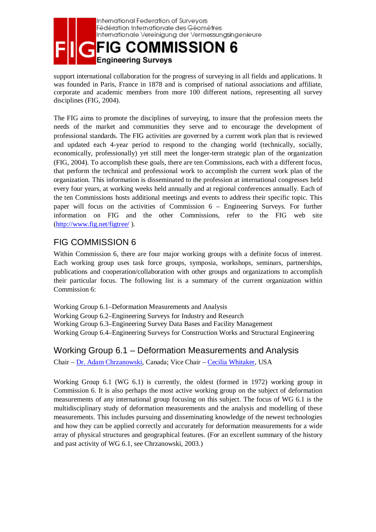

support international collaboration for the progress of surveying in all fields and applications. It was founded in Paris, France in 1878 and is comprised of national associations and affiliate, corporate and academic members from more 100 different nations, representing all survey disciplines (FIG, 2004).

The FIG aims to promote the disciplines of surveying, to insure that the profession meets the needs of the market and communities they serve and to encourage the development of professional standards. The FIG activities are governed by a current work plan that is reviewed and updated each 4-year period to respond to the changing world (technically, socially, economically, professionally) yet still meet the longer-term strategic plan of the organization (FIG, 2004). To accomplish these goals, there are ten Commissions, each with a different focus, that perform the technical and professional work to accomplish the current work plan of the organization. This information is disseminated to the profession at international congresses held every four years, at working weeks held annually and at regional conferences annually. Each of the ten Commissions hosts additional meetings and events to address their specific topic. This paper will focus on the activities of Commission 6 – Engineering Surveys. For further information on FIG and the other Commissions, refer to the FIG web site (http://www.fig.net/figtree/ ).

## FIG COMMISSION 6

Within Commission 6, there are four major working groups with a definite focus of interest. Each working group uses task force groups, symposia, workshops, seminars, partnerships, publications and cooperation/collaboration with other groups and organizations to accomplish their particular focus. The following list is a summary of the current organization within Commission 6:

Working Group 6.1–Deformation Measurements and Analysis Working Group 6.2–Engineering Surveys for Industry and Research Working Group 6.3–Engineering Survey Data Bases and Facility Management Working Group 6.4–Engineering Surveys for Construction Works and Structural Engineering

## Working Group 6.1 – Deformation Measurements and Analysis

Chair – Dr. Adam Chrzanowski, Canada; Vice Chair – Cecilia Whitaker, USA

Working Group 6.1 (WG 6.1) is currently, the oldest (formed in 1972) working group in Commission 6. It is also perhaps the most active working group on the subject of deformation measurements of any international group focusing on this subject. The focus of WG 6.1 is the multidisciplinary study of deformation measurements and the analysis and modelling of these measurements. This includes pursuing and disseminating knowledge of the newest technologies and how they can be applied correctly and accurately for deformation measurements for a wide array of physical structures and geographical features. (For an excellent summary of the history and past activity of WG 6.1, see Chrzanowski, 2003.)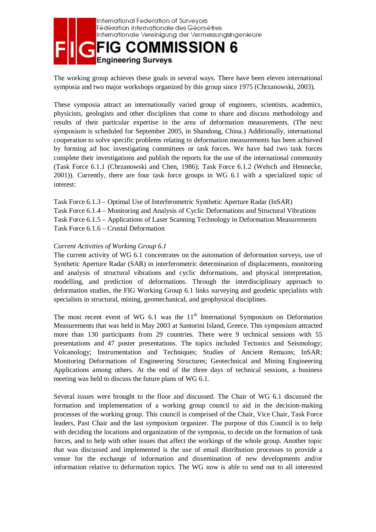

The working group achieves these goals in several ways. There have been eleven international symposia and two major workshops organized by this group since 1975 (Chrzanowski, 2003).

These symposia attract an internationally varied group of engineers, scientists, academics, physicists, geologists and other disciplines that come to share and discuss methodology and results of their particular expertise in the area of deformation measurements. (The next symposium is scheduled for September 2005, in Shandong, China.) Additionally, international cooperation to solve specific problems relating to deformation measurements has been achieved by forming ad hoc investigating committees or task forces. We have had two task forces complete their investigations and publish the reports for the use of the international community (Task Force 6.1.1 (Chrzanowski and Chen, 1986); Task Force 6.1.2 (Welsch and Hennecke, 2001)). Currently, there are four task force groups in WG 6.1 with a specialized topic of interest:

Task Force 6.1.3 – Optimal Use of Interferometric Synthetic Aperture Radar (InSAR)

Task Force 6.1.4 – Monitoring and Analysis of Cyclic Deformations and Structural Vibrations Task Force 6.1.5 – Applications of Laser Scanning Technology in Deformation Measurements Task Force 6.1.6 – Crustal Deformation

#### *Current Activities of Working Group 6.1*

The current activity of WG 6.1 concentrates on the automation of deformation surveys, use of Synthetic Aperture Radar (SAR) in interferometric determination of displacements, monitoring and analysis of structural vibrations and cyclic deformations, and physical interpretation, modelling, and prediction of deformations. Through the interdisciplinary approach to deformation studies, the FIG Working Group 6.1 links surveying and geodetic specialists with specialists in structural, mining, geomechanical, and geophysical disciplines.

The most recent event of WG 6.1 was the  $11<sup>th</sup>$  International Symposium on Deformation Measurements that was held in May 2003 at Santorini Island, Greece. This symposium attracted more than 130 participants from 29 countries. There were 9 technical sessions with 55 presentations and 47 poster presentations. The topics included Tectonics and Seismology; Volcanology; Instrumentation and Techniques; Studies of Ancient Remains; InSAR; Monitoring Deformations of Engineering Structures; Geotechnical and Mining Engineering Applications among others. At the end of the three days of technical sessions, a business meeting was held to discuss the future plans of WG 6.1.

Several issues were brought to the floor and discussed. The Chair of WG 6.1 discussed the formation and implementation of a working group council to aid in the decision-making processes of the working group. This council is comprised of the Chair, Vice Chair, Task Force leaders, Past Chair and the last symposium organizer. The purpose of this Council is to help with deciding the locations and organization of the symposia, to decide on the formation of task forces, and to help with other issues that affect the workings of the whole group. Another topic that was discussed and implemented is the use of email distribution processes to provide a venue for the exchange of information and dissemination of new developments and/or information relative to deformation topics. The WG now is able to send out to all interested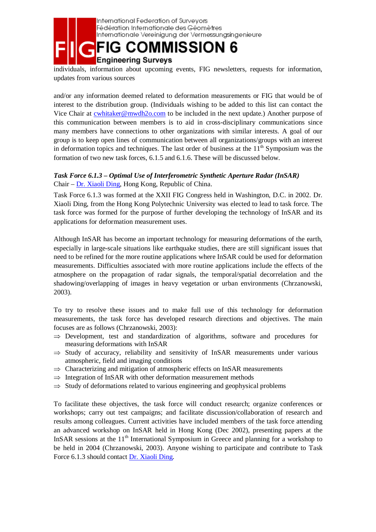

individuals, information about upcoming events, FIG newsletters, requests for information, updates from various sources

and/or any information deemed related to deformation measurements or FIG that would be of interest to the distribution group. (Individuals wishing to be added to this list can contact the Vice Chair at cwhitaker@mwdh2o.com to be included in the next update.) Another purpose of this communication between members is to aid in cross-disciplinary communications since many members have connections to other organizations with similar interests. A goal of our group is to keep open lines of communication between all organizations/groups with an interest in deformation topics and techniques. The last order of business at the  $11<sup>th</sup>$  Symposium was the formation of two new task forces, 6.1.5 and 6.1.6. These will be discussed below.

### *Task Force 6.1.3 – Optimal Use of Interferometric Synthetic Aperture Radar (InSAR)*  Chair – Dr. Xiaoli Ding, Hong Kong, Republic of China.

Task Force 6.1.3 was formed at the XXII FIG Congress held in Washington, D.C. in 2002. Dr. Xiaoli Ding, from the Hong Kong Polytechnic University was elected to lead to task force. The task force was formed for the purpose of further developing the technology of InSAR and its applications for deformation measurement uses.

Although InSAR has become an important technology for measuring deformations of the earth, especially in large-scale situations like earthquake studies, there are still significant issues that need to be refined for the more routine applications where InSAR could be used for deformation measurements. Difficulties associated with more routine applications include the effects of the atmosphere on the propagation of radar signals, the temporal/spatial decorrelation and the shadowing/overlapping of images in heavy vegetation or urban environments (Chrzanowski, 2003).

To try to resolve these issues and to make full use of this technology for deformation measurements, the task force has developed research directions and objectives. The main focuses are as follows (Chrzanowski, 2003):

- $\Rightarrow$  Development, test and standardization of algorithms, software and procedures for measuring deformations with InSAR
- $\Rightarrow$  Study of accuracy, reliability and sensitivity of InSAR measurements under various atmospheric, field and imaging conditions
- $\Rightarrow$  Characterizing and mitigation of atmospheric effects on InSAR measurements
- $\Rightarrow$  Integration of InSAR with other deformation measurement methods
- $\Rightarrow$  Study of deformations related to various engineering and geophysical problems

To facilitate these objectives, the task force will conduct research; organize conferences or workshops; carry out test campaigns; and facilitate discussion/collaboration of research and results among colleagues. Current activities have included members of the task force attending an advanced workshop on InSAR held in Hong Kong (Dec 2002), presenting papers at the InSAR sessions at the  $11<sup>th</sup>$  International Symposium in Greece and planning for a workshop to be held in 2004 (Chrzanowski, 2003). Anyone wishing to participate and contribute to Task Force 6.1.3 should contact Dr. Xiaoli Ding.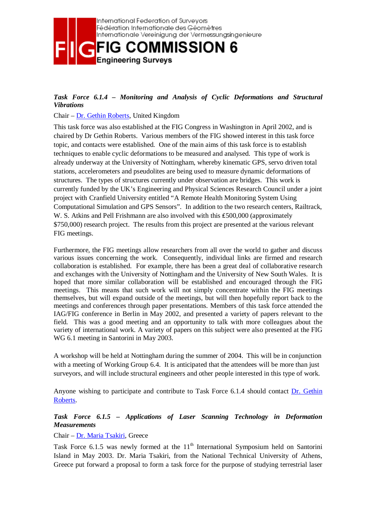

#### *Task Force 6.1.4 – Monitoring and Analysis of Cyclic Deformations and Structural Vibrations*

#### Chair – Dr. Gethin Roberts, United Kingdom

This task force was also established at the FIG Congress in Washington in April 2002, and is chaired by Dr Gethin Roberts. Various members of the FIG showed interest in this task force topic, and contacts were established. One of the main aims of this task force is to establish techniques to enable cyclic deformations to be measured and analysed. This type of work is already underway at the University of Nottingham, whereby kinematic GPS, servo driven total stations, accelerometers and pseudolites are being used to measure dynamic deformations of structures. The types of structures currently under observation are bridges. This work is currently funded by the UK's Engineering and Physical Sciences Research Council under a joint project with Cranfield University entitled "A Remote Health Monitoring System Using Computational Simulation and GPS Sensors". In addition to the two research centers, Railtrack, W. S. Atkins and Pell Frishmann are also involved with this £500,000 (approximately \$750,000) research project. The results from this project are presented at the various relevant FIG meetings.

Furthermore, the FIG meetings allow researchers from all over the world to gather and discuss various issues concerning the work. Consequently, individual links are firmed and research collaboration is established. For example, there has been a great deal of collaborative research and exchanges with the University of Nottingham and the University of New South Wales. It is hoped that more similar collaboration will be established and encouraged through the FIG meetings. This means that such work will not simply concentrate within the FIG meetings themselves, but will expand outside of the meetings, but will then hopefully report back to the meetings and conferences through paper presentations. Members of this task force attended the IAG/FIG conference in Berlin in May 2002, and presented a variety of papers relevant to the field. This was a good meeting and an opportunity to talk with more colleagues about the variety of international work. A variety of papers on this subject were also presented at the FIG WG 6.1 meeting in Santorini in May 2003.

A workshop will be held at Nottingham during the summer of 2004. This will be in conjunction with a meeting of Working Group 6.4. It is anticipated that the attendees will be more than just surveyors, and will include structural engineers and other people interested in this type of work.

Anyone wishing to participate and contribute to Task Force 6.1.4 should contact Dr. Gethin Roberts.

#### *Task Force 6.1.5 – Applications of Laser Scanning Technology in Deformation Measurements*

#### Chair – Dr. Maria Tsakiri, Greece

Task Force  $6.1.5$  was newly formed at the  $11<sup>th</sup>$  International Symposium held on Santorini Island in May 2003. Dr. Maria Tsakiri, from the National Technical University of Athens, Greece put forward a proposal to form a task force for the purpose of studying terrestrial laser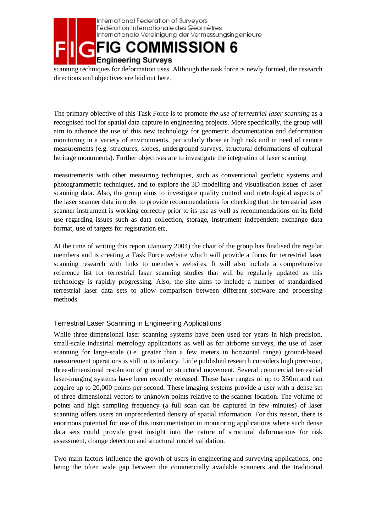

scanning techniques for deformation uses. Although the task force is newly formed, the research directions and objectives are laid out here.

The primary objective of this Task Force is to promote *the use of terrestrial laser scanning* as a recognised tool for spatial data capture in engineering projects. More specifically, the group will aim to advance the use of this new technology for geometric documentation and deformation monitoring in a variety of environments, particularly those at high risk and in need of remote measurements (e.g. structures, slopes, underground surveys, structural deformations of cultural heritage monuments). Further objectives are to investigate the integration of laser scanning

measurements with other measuring techniques, such as conventional geodetic systems and photogrammetric techniques, and to explore the 3D modelling and visualisation issues of laser scanning data. Also, the group aims to investigate quality control and metrological aspects of the laser scanner data in order to provide recommendations for checking that the terrestrial laser scanner instrument is working correctly prior to its use as well as recommendations on its field use regarding issues such as data collection, storage, instrument independent exchange data format, use of targets for registration etc.

At the time of writing this report (January 2004) the chair of the group has finalised the regular members and is creating a Task Force website which will provide a focus for terrestrial laser scanning research with links to member's websites. It will also include a comprehensive reference list for terrestrial laser scanning studies that will be regularly updated as this technology is rapidly progressing. Also, the site aims to include a number of standardised terrestrial laser data sets to allow comparison between different software and processing methods.

### Terrestrial Laser Scanning in Engineering Applications

While three-dimensional laser scanning systems have been used for years in high precision, small-scale industrial metrology applications as well as for airborne surveys, the use of laser scanning for large-scale (i.e. greater than a few meters in horizontal range) ground-based measurement operations is still in its infancy. Little published research considers high precision, three-dimensional resolution of ground or structural movement. Several commercial terrestrial laser-imaging systems have been recently released. These have ranges of up to 350m and can acquire up to 20,000 points per second. These imaging systems provide a user with a dense set of three-dimensional vectors to unknown points relative to the scanner location. The volume of points and high sampling frequency (a full scan can be captured in few minutes) of laser scanning offers users an unprecedented density of spatial information. For this reason, there is enormous potential for use of this instrumentation in monitoring applications where such dense data sets could provide great insight into the nature of structural deformations for risk assessment, change detection and structural model validation.

Two main factors influence the growth of users in engineering and surveying applications, one being the often wide gap between the commercially available scanners and the traditional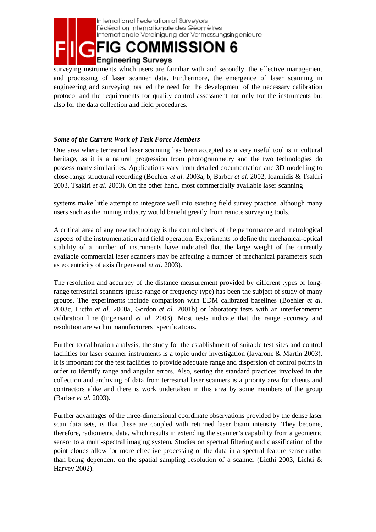

surveying instruments which users are familiar with and secondly, the effective management and processing of laser scanner data. Furthermore, the emergence of laser scanning in engineering and surveying has led the need for the development of the necessary calibration protocol and the requirements for quality control assessment not only for the instruments but also for the data collection and field procedures.

#### *Some of the Current Work of Task Force Members*

One area where terrestrial laser scanning has been accepted as a very useful tool is in cultural heritage, as it is a natural progression from photogrammetry and the two technologies do possess many similarities. Applications vary from detailed documentation and 3D modelling to close-range structural recording (Boehler *et al.* 2003a, b, Barber *et al.* 2002, Ioannidis & Tsakiri 2003, Tsakiri *et al.* 2003)**.** On the other hand, most commercially available laser scanning

systems make little attempt to integrate well into existing field survey practice, although many users such as the mining industry would benefit greatly from remote surveying tools.

A critical area of any new technology is the control check of the performance and metrological aspects of the instrumentation and field operation. Experiments to define the mechanical-optical stability of a number of instruments have indicated that the large weight of the currently available commercial laser scanners may be affecting a number of mechanical parameters such as eccentricity of axis (Ingensand *et al*. 2003).

The resolution and accuracy of the distance measurement provided by different types of longrange terrestrial scanners (pulse-range or frequency type) has been the subject of study of many groups. The experiments include comparison with EDM calibrated baselines (Boehler *et al.* 2003c, Licthi *et al.* 2000a, Gordon *et al.* 2001b) or laboratory tests with an interferometric calibration line (Ingensand *et al.* 2003). Most tests indicate that the range accuracy and resolution are within manufacturers' specifications.

Further to calibration analysis, the study for the establishment of suitable test sites and control facilities for laser scanner instruments is a topic under investigation (Iavarone & Martin 2003). It is important for the test facilities to provide adequate range and dispersion of control points in order to identify range and angular errors. Also, setting the standard practices involved in the collection and archiving of data from terrestrial laser scanners is a priority area for clients and contractors alike and there is work undertaken in this area by some members of the group (Barber *et al*. 2003).

Further advantages of the three-dimensional coordinate observations provided by the dense laser scan data sets, is that these are coupled with returned laser beam intensity. They become, therefore, radiometric data, which results in extending the scanner's capability from a geometric sensor to a multi-spectral imaging system. Studies on spectral filtering and classification of the point clouds allow for more effective processing of the data in a spectral feature sense rather than being dependent on the spatial sampling resolution of a scanner (Licthi 2003, Lichti & Harvey 2002).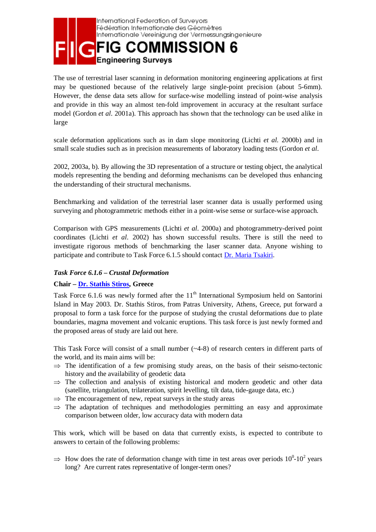

The use of terrestrial laser scanning in deformation monitoring engineering applications at first may be questioned because of the relatively large single-point precision (about 5-6mm). However, the dense data sets allow for surface-wise modelling instead of point-wise analysis and provide in this way an almost ten-fold improvement in accuracy at the resultant surface model (Gordon *et al*. 2001a). This approach has shown that the technology can be used alike in large

scale deformation applications such as in dam slope monitoring (Lichti *et al.* 2000b) and in small scale studies such as in precision measurements of laboratory loading tests (Gordon *et al*.

2002, 2003a, b). By allowing the 3D representation of a structure or testing object, the analytical models representing the bending and deforming mechanisms can be developed thus enhancing the understanding of their structural mechanisms.

Benchmarking and validation of the terrestrial laser scanner data is usually performed using surveying and photogrammetric methods either in a point-wise sense or surface-wise approach.

Comparison with GPS measurements (Lichti *et al*. 2000a) and photogrammetry-derived point coordinates (Lichti *et al*. 2002) has shown successful results. There is still the need to investigate rigorous methods of benchmarking the laser scanner data. Anyone wishing to participate and contribute to Task Force 6.1.5 should contact Dr. Maria Tsakiri.

#### *Task Force 6.1.6 – Crustal Deformation*

#### **Chair – Dr. Stathis Stiros, Greece**

Task Force 6.1.6 was newly formed after the  $11<sup>th</sup>$  International Symposium held on Santorini Island in May 2003. Dr. Stathis Stiros, from Patras University, Athens, Greece, put forward a proposal to form a task force for the purpose of studying the crustal deformations due to plate boundaries, magma movement and volcanic eruptions. This task force is just newly formed and the proposed areas of study are laid out here.

This Task Force will consist of a small number (~4-8) of research centers in different parts of the world, and its main aims will be:

- $\Rightarrow$  The identification of a few promising study areas, on the basis of their seismo-tectonic history and the availability of geodetic data
- ⇒ The collection and analysis of existing historical and modern geodetic and other data (satellite, triangulation, trilateration, spirit levelling, tilt data, tide-gauge data, etc.)
- $\Rightarrow$  The encouragement of new, repeat surveys in the study areas
- $\Rightarrow$  The adaptation of techniques and methodologies permitting an easy and approximate comparison between older, low accuracy data with modern data

This work, which will be based on data that currently exists, is expected to contribute to answers to certain of the following problems:

 $\Rightarrow$  How does the rate of deformation change with time in test areas over periods  $10^0$ - $10^2$  years long? Are current rates representative of longer-term ones? long? Are current rates representative of longer-term ones?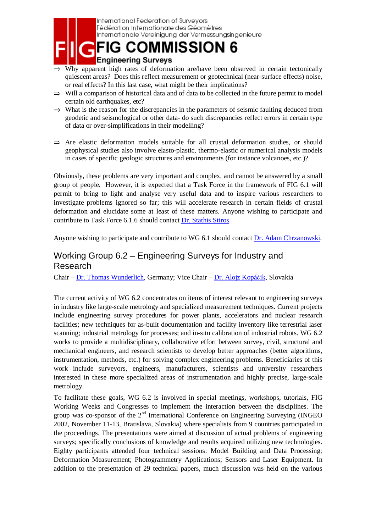

International Federation of Surveyors Fédération Internationale des Géomètres Internationale Vereinigung der Vermessungsingenieure

**COMMISSION 6** 

### **Engineering Surveys**

- $\Rightarrow$  Why apparent high rates of deformation are/have been observed in certain tectonically quiescent areas? Does this reflect measurement or geotechnical (near-surface effects) noise, or real effects? In this last case, what might be their implications?
- $\Rightarrow$  Will a comparison of historical data and of data to be collected in the future permit to model certain old earthquakes, etc?
- $\Rightarrow$  What is the reason for the discrepancies in the parameters of seismic faulting deduced from geodetic and seismological or other data- do such discrepancies reflect errors in certain type of data or over-simplifications in their modelling?
- $\Rightarrow$  Are elastic deformation models suitable for all crustal deformation studies, or should geophysical studies also involve elasto-plastic, thermo-elastic or numerical analysis models in cases of specific geologic structures and environments (for instance volcanoes, etc.)?

Obviously, these problems are very important and complex, and cannot be answered by a small group of people. However, it is expected that a Task Force in the framework of FIG 6.1 will permit to bring to light and analyse very useful data and to inspire various researchers to investigate problems ignored so far; this will accelerate research in certain fields of crustal deformation and elucidate some at least of these matters. Anyone wishing to participate and contribute to Task Force 6.1.6 should contact Dr. Stathis Stiros.

Anyone wishing to participate and contribute to WG 6.1 should contact Dr. Adam Chrzanowski.

## Working Group 6.2 – Engineering Surveys for Industry and Research

Chair – Dr. Thomas Wunderlich, Germany; Vice Chair – Dr. Alojz Kopáčik, Slovakia

The current activity of WG 6.2 concentrates on items of interest relevant to engineering surveys in industry like large-scale metrology and specialized measurement techniques. Current projects include engineering survey procedures for power plants, accelerators and nuclear research facilities; new techniques for as-built documentation and facility inventory like terrestrial laser scanning; industrial metrology for processes; and in-situ calibration of industrial robots. WG 6.2 works to provide a multidisciplinary, collaborative effort between survey, civil, structural and mechanical engineers, and research scientists to develop better approaches (better algorithms, instrumentation, methods, etc.) for solving complex engineering problems. Beneficiaries of this work include surveyors, engineers, manufacturers, scientists and university researchers interested in these more specialized areas of instrumentation and highly precise, large-scale metrology.

To facilitate these goals, WG 6.2 is involved in special meetings, workshops, tutorials, FIG Working Weeks and Congresses to implement the interaction between the disciplines. The group was co-sponsor of the  $2<sup>nd</sup>$  International Conference on Engineering Surveying (INGEO 2002, November 11-13, Bratislava, Slovakia) where specialists from 9 countries participated in the proceedings. The presentations were aimed at discussion of actual problems of engineering surveys; specifically conclusions of knowledge and results acquired utilizing new technologies. Eighty participants attended four technical sessions: Model Building and Data Processing; Deformation Measurement; Photogrammetry Applications; Sensors and Laser Equipment. In addition to the presentation of 29 technical papers, much discussion was held on the various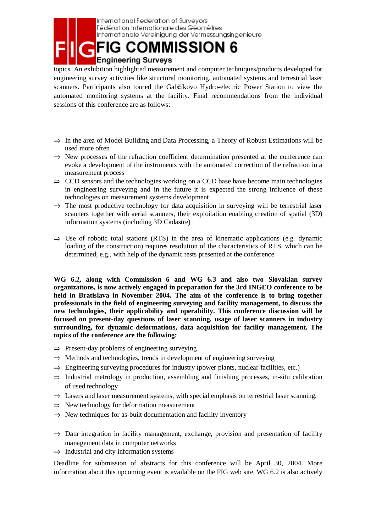

International Federation of Surveyors Fédération Internationale des Géomètres Internationale Vereinigung der Vermessungsingenieure

topics. An exhibition highlighted measurement and computer techniques/products developed for engineering survey activities like structural monitoring, automated systems and terrestrial laser scanners. Participants also toured the Gabčíkovo Hydro-electric Power Station to view the automated monitoring systems at the facility. Final recommendations from the individual sessions of this conference are as follows:

- $\Rightarrow$  In the area of Model Building and Data Processing, a Theory of Robust Estimations will be used more often
- $\Rightarrow$  New processes of the refraction coefficient determination presented at the conference can evoke a development of the instruments with the automated correction of the refraction in a measurement process
- ⇒ CCD sensors and the technologies working on a CCD base have become main technologies in engineering surveying and in the future it is expected the strong influence of these technologies on measurement systems development
- $\Rightarrow$  The most productive technology for data acquisition in surveying will be terrestrial laser scanners together with aerial scanners, their exploitation enabling creation of spatial (3D) information systems (including 3D Cadastre)
- $\Rightarrow$  Use of robotic total stations (RTS) in the area of kinematic applications (e.g. dynamic loading of the construction) requires resolution of the characteristics of RTS, which can be determined, e.g., with help of the dynamic tests presented at the conference

**WG 6.2, along with Commission 6 and WG 6.3 and also two Slovakian survey organizations, is now actively engaged in preparation for the 3rd INGEO conference to be held in Bratislava in November 2004. The aim of the conference is to bring together professionals in the field of engineering surveying and facility management, to discuss the new technologies, their applicability and operability. This conference discussion will be focused on present-day questions of laser scanning, usage of laser scanners in industry surrounding, for dynamic deformations, data acquisition for facility management. The topics of the conference are the following:** 

- ⇒ Present-day problems of engineering surveying
- $\Rightarrow$  Methods and technologies, trends in development of engineering surveying
- $\Rightarrow$  Engineering surveying procedures for industry (power plants, nuclear facilities, etc.)
- $\Rightarrow$  Industrial metrology in production, assembling and finishing processes, in-situ calibration of used technology
- $\Rightarrow$  Lasers and laser measurement systems, with special emphasis on terrestrial laser scanning,
- $\Rightarrow$  New technology for deformation measurement
- $\Rightarrow$  New techniques for as-built documentation and facility inventory
- $\Rightarrow$  Data integration in facility management, exchange, provision and presentation of facility management data in computer networks
- $\Rightarrow$  Industrial and city information systems

Deadline for submission of abstracts for this conference will be April 30, 2004. More information about this upcoming event is available on the FIG web site. WG 6.2 is also actively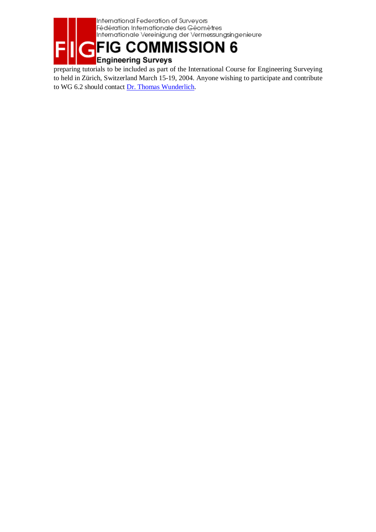

preparing tutorials to be included as part of the International Course for Engineering Surveying to held in Zürich, Switzerland March 15-19, 2004. Anyone wishing to participate and contribute to WG 6.2 should contact Dr. Thomas Wunderlich.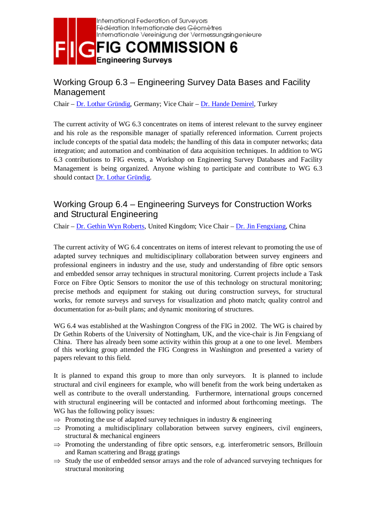

## Working Group 6.3 – Engineering Survey Data Bases and Facility Management

Chair – Dr. Lothar Gründig, Germany; Vice Chair – Dr. Hande Demirel, Turkey

The current activity of WG 6.3 concentrates on items of interest relevant to the survey engineer and his role as the responsible manager of spatially referenced information. Current projects include concepts of the spatial data models; the handling of this data in computer networks; data integration; and automation and combination of data acquisition techniques. In addition to WG 6.3 contributions to FIG events, a Workshop on Engineering Survey Databases and Facility Management is being organized. Anyone wishing to participate and contribute to WG 6.3 should contact Dr. Lothar Gründig.

## Working Group 6.4 – Engineering Surveys for Construction Works and Structural Engineering

Chair – Dr. Gethin Wyn Roberts, United Kingdom; Vice Chair – Dr. Jin Fengxiang, China

The current activity of WG 6.4 concentrates on items of interest relevant to promoting the use of adapted survey techniques and multidisciplinary collaboration between survey engineers and professional engineers in industry and the use, study and understanding of fibre optic sensors and embedded sensor array techniques in structural monitoring. Current projects include a Task Force on Fibre Optic Sensors to monitor the use of this technology on structural monitoring; precise methods and equipment for staking out during construction surveys, for structural works, for remote surveys and surveys for visualization and photo match; quality control and documentation for as-built plans; and dynamic monitoring of structures.

WG 6.4 was established at the Washington Congress of the FIG in 2002. The WG is chaired by Dr Gethin Roberts of the University of Nottingham, UK, and the vice-chair is Jin Fengxiang of China. There has already been some activity within this group at a one to one level. Members of this working group attended the FIG Congress in Washington and presented a variety of papers relevant to this field.

It is planned to expand this group to more than only surveyors. It is planned to include structural and civil engineers for example, who will benefit from the work being undertaken as well as contribute to the overall understanding. Furthermore, international groups concerned with structural engineering will be contacted and informed about forthcoming meetings. The WG has the following policy issues:

- $\Rightarrow$  Promoting the use of adapted survey techniques in industry & engineering
- $\Rightarrow$  Promoting a multidisciplinary collaboration between survey engineers, civil engineers, structural & mechanical engineers
- $\Rightarrow$  Promoting the understanding of fibre optic sensors, e.g. interferometric sensors, Brillouin and Raman scattering and Bragg gratings
- $\Rightarrow$  Study the use of embedded sensor arrays and the role of advanced surveying techniques for structural monitoring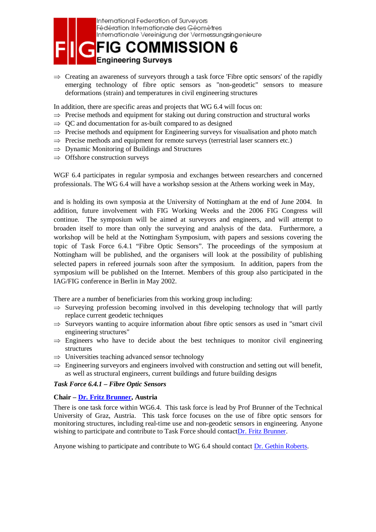

 $\Rightarrow$  Creating an awareness of surveyors through a task force 'Fibre optic sensors' of the rapidly emerging technology of fibre optic sensors as "non-geodetic" sensors to measure deformations (strain) and temperatures in civil engineering structures

In addition, there are specific areas and projects that WG 6.4 will focus on:

- $\Rightarrow$  Precise methods and equipment for staking out during construction and structural works
- $\Rightarrow$  QC and documentation for as-built compared to as designed
- ⇒ Precise methods and equipment for Engineering surveys for visualisation and photo match
- $\Rightarrow$  Precise methods and equipment for remote surveys (terrestrial laser scanners etc.)
- $\Rightarrow$  Dynamic Monitoring of Buildings and Structures
- $\Rightarrow$  Offshore construction surveys

WGF 6.4 participates in regular symposia and exchanges between researchers and concerned professionals. The WG 6.4 will have a workshop session at the Athens working week in May,

and is holding its own symposia at the University of Nottingham at the end of June 2004. In addition, future involvement with FIG Working Weeks and the 2006 FIG Congress will continue. The symposium will be aimed at surveyors and engineers, and will attempt to broaden itself to more than only the surveying and analysis of the data. Furthermore, a workshop will be held at the Nottingham Symposium, with papers and sessions covering the topic of Task Force 6.4.1 "Fibre Optic Sensors". The proceedings of the symposium at Nottingham will be published, and the organisers will look at the possibility of publishing selected papers in refereed journals soon after the symposium. In addition, papers from the symposium will be published on the Internet. Members of this group also participated in the IAG/FIG conference in Berlin in May 2002.

There are a number of beneficiaries from this working group including:

- $\Rightarrow$  Surveying profession becoming involved in this developing technology that will partly replace current geodetic techniques
- $\Rightarrow$  Surveyors wanting to acquire information about fibre optic sensors as used in "smart civil" engineering structures"
- $\Rightarrow$  Engineers who have to decide about the best techniques to monitor civil engineering structures
- $\Rightarrow$  Universities teaching advanced sensor technology
- $\Rightarrow$  Engineering surveyors and engineers involved with construction and setting out will benefit, as well as structural engineers, current buildings and future building designs

#### *Task Force 6.4.1 – Fibre Optic Sensors*

#### **Chair – Dr. Fritz Brunner, Austria**

There is one task force within WG6.4. This task force is lead by Prof Brunner of the Technical University of Graz, Austria. This task force focuses on the use of fibre optic sensors for monitoring structures, including real-time use and non-geodetic sensors in engineering. Anyone wishing to participate and contribute to Task Force should contactDr. Fritz Brunner.

Anyone wishing to participate and contribute to WG 6.4 should contact Dr. Gethin Roberts.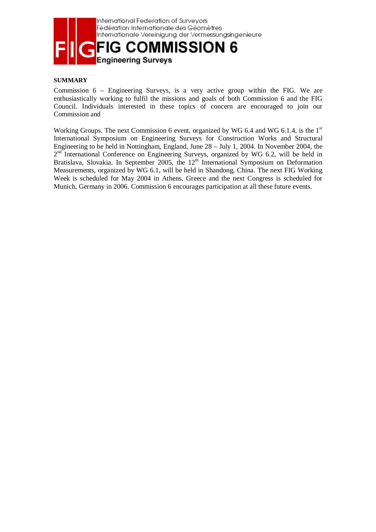

#### **SUMMARY**

Commission 6 – Engineering Surveys, is a very active group within the FIG. We are enthusiastically working to fulfil the missions and goals of both Commission 6 and the FIG Council. Individuals interested in these topics of concern are encouraged to join our Commission and

Working Groups. The next Commission 6 event, organized by WG 6.4 and WG 6.1.4, is the  $1<sup>st</sup>$ International Symposium on Engineering Surveys for Construction Works and Structural Engineering to be held in Nottingham, England, June 28 – July 1, 2004. In November 2004, the  $2<sup>nd</sup>$  International Conference on Engineering Surveys, organized by WG 6.2, will be held in Bratislava, Slovakia. In September 2005, the  $12<sup>th</sup>$  International Symposium on Deformation Measurements, organized by WG 6.1, will be held in Shandong, China. The next FIG Working Week is scheduled for May 2004 in Athens, Greece and the next Congress is scheduled for Munich, Germany in 2006. Commission 6 encourages participation at all these future events.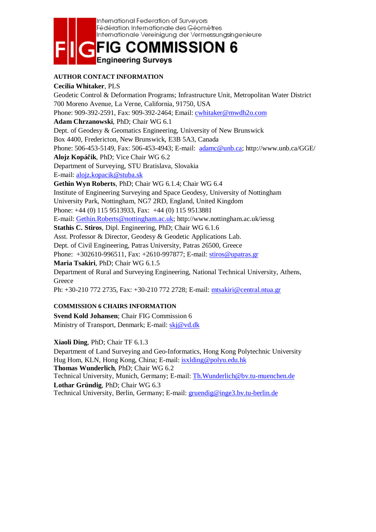

#### **AUTHOR CONTACT INFORMATION**

**Cecilia Whitaker**, PLS Geodetic Control & Deformation Programs; Infrastructure Unit, Metropolitan Water District 700 Moreno Avenue, La Verne, California, 91750, USA Phone: 909-392-2591, Fax: 909-392-2464; Email: cwhitaker@mwdh2o.com **Adam Chrzanowski**, PhD; Chair WG 6.1 Dept. of Geodesy & Geomatics Engineering, University of New Brunswick Box 4400, Fredericton, New Brunswick, E3B 5A3, Canada Phone: 506-453-5149, Fax: 506-453-4943; E-mail: adamc@unb.ca; http://www.unb.ca/GGE/ **Alojz Kopá**č**ik**, PhD; Vice Chair WG 6.2 Department of Surveying, STU Bratislava, Slovakia E-mail: alojz.kopacik@stuba.sk **Gethin Wyn Roberts**, PhD; Chair WG 6.1.4; Chair WG 6.4 Institute of Engineering Surveying and Space Geodesy, University of Nottingham University Park, Nottingham, NG7 2RD, England, United Kingdom Phone: +44 (0) 115 9513933, Fax: +44 (0) 115 9513881 E-mail: Gethin.Roberts@nottingham.ac.uk; http://www.nottingham.ac.uk/iessg **Stathis C. Stiros**, Dipl. Engineering, PhD; Chair WG 6.1.6 Asst. Professor & Director, Geodesy & Geodetic Applications Lab. Dept. of Civil Engineering, Patras University, Patras 26500, Greece Phone: +302610-996511, Fax: +2610-997877; E-mail: stiros@upatras.gr **Maria Tsakiri**, PhD; Chair WG 6.1.5 Department of Rural and Surveying Engineering, National Technical University, Athens, **Greece** Ph: +30-210 772 2735, Fax: +30-210 772 2728; E-mail: mtsakiri@central.ntua.gr

#### **COMMISSION 6 CHAIRS INFORMATION**

**Svend Kold Johansen**; Chair FIG Commission 6 Ministry of Transport, Denmark; E-mail: skj@vd.dk

**Xiaoli Ding**, PhD; Chair TF 6.1.3

Department of Land Surveying and Geo-Informatics, Hong Kong Polytechnic University Hug Hom, KLN, Hong Kong, China; E-mail: isxlding@polyu.edu.hk **Thomas Wunderlich**, PhD; Chair WG 6.2 Technical University, Munich, Germany; E-mail: Th.Wunderlich@bv.tu-muenchen.de **Lothar Gründig**, PhD; Chair WG 6.3 Technical University, Berlin, Germany; E-mail: gruendig@inge3.bv.tu-berlin.de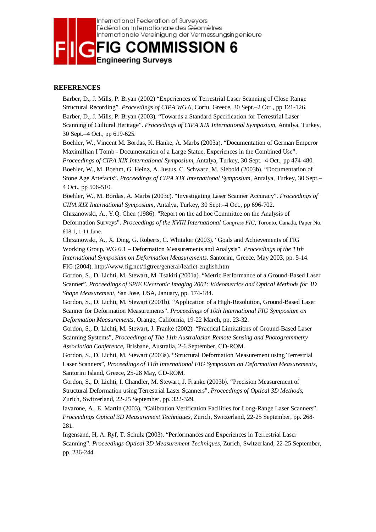

#### **REFERENCES**

Barber, D., J. Mills, P. Bryan (2002) "Experiences of Terrestrial Laser Scanning of Close Range Structural Recording". *Proceedings of CIPA WG 6*, Corfu, Greece, 30 Sept.–2 Oct., pp 121-126. Barber, D., J. Mills, P. Bryan (2003). "Towards a Standard Specification for Terrestrial Laser Scanning of Cultural Heritage". *Proceedings of CIPA XIX International Symposium*, Antalya, Turkey, 30 Sept.–4 Oct., pp 619-625.

Boehler, W., Vincent M. Bordas, K. Hanke, A. Marbs (2003a). "Documentation of German Emperor Maximillian I Tomb - Documentation of a Large Statue, Experiences in the Combined Use". *Proceedings of CIPA XIX International Symposium*, Antalya, Turkey, 30 Sept.–4 Oct., pp 474-480. Boehler, W., M. Boehm, G. Heinz, A. Justus, C. Schwarz, M. Siebold (2003b). "Documentation of Stone Age Artefacts". *Proceedings of CIPA XIX International Symposium*, Antalya, Turkey, 30 Sept.– 4 Oct., pp 506-510.

Boehler, W., M. Bordas, A. Marbs (2003c). "Investigating Laser Scanner Accuracy". *Proceedings of CIPA XIX International Symposium*, Antalya, Turkey, 30 Sept.–4 Oct., pp 696-702.

Chrzanowski, A., Y.Q. Chen (1986). "Report on the ad hoc Committee on the Analysis of Deformation Surveys". *Proceedings of the XVIII International Congress FIG*, Toronto, Canada, Paper No. 608.1, 1-11 June.

Chrzanowski, A., X. Ding, G. Roberts, C. Whitaker (2003). "Goals and Achievements of FIG Working Group, WG 6.1 – Deformation Measurements and Analysis". *Proceedings of the 11th International Symposium on Deformation Measurements*, Santorini, Greece, May 2003, pp. 5-14. FIG (2004). http://www.fig.net/figtree/general/leaflet-english.htm

Gordon, S., D. Lichti, M. Stewart, M. Tsakiri (2001a). "Metric Performance of a Ground-Based Laser Scanner". *Proceedings of SPIE Electronic Imaging 2001: Videometrics and Optical Methods for 3D Shape Measurement*, San Jose, USA, January, pp. 174-184.

Gordon, S., D. Lichti, M. Stewart (2001b). "Application of a High-Resolution, Ground-Based Laser Scanner for Deformation Measurements". *Proceedings of 10th International FIG Symposium on Deformation Measurements*, Orange, California, 19-22 March, pp. 23-32.

Gordon, S., D. Lichti, M. Stewart, J. Franke (2002). "Practical Limitations of Ground-Based Laser Scanning Systems", *Proceedings of The 11th Australasian Remote Sensing and Photogrammetry Association Conference*, Brisbane, Australia, 2-6 September, CD-ROM.

Gordon, S., D. Lichti, M. Stewart (2003a). "Structural Deformation Measurement using Terrestrial Laser Scanners", *Proceedings of 11th International FIG Symposium on Deformation Measurements*, Santorini Island, Greece, 25-28 May, CD-ROM.

Gordon, S., D. Lichti, I. Chandler, M. Stewart, J. Franke (2003b). "Precision Measurement of Structural Deformation using Terrestrial Laser Scanners", *Proceedings of Optical 3D Methods*, Zurich, Switzerland, 22-25 September, pp. 322-329.

Iavarone, A., E. Martin (2003). "Calibration Verification Facilities for Long-Range Laser Scanners". *Proceedings Optical 3D Measurement Techniques*, Zurich, Switzerland, 22-25 September, pp. 268- 281.

Ingensand, H, A. Ryf, T. Schulz (2003). "Performances and Experiences in Terrestrial Laser Scanning". *Proceedings Optical 3D Measurement Techniques*, Zurich, Switzerland, 22-25 September, pp. 236-244.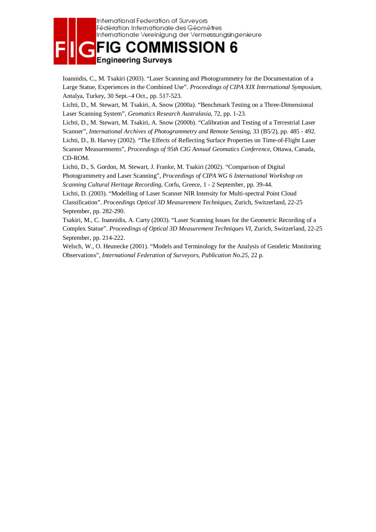

Ioannidis, C., M. Tsakiri (2003). "Laser Scanning and Photogrammetry for the Documentation of a Large Statue, Experiences in the Combined Use". *Proceedings of CIPA XIX International Symposium*, Antalya, Turkey, 30 Sept.–4 Oct., pp. 517-523.

Lichti, D., M. Stewart, M. Tsakiri, A. Snow (2000a). "Benchmark Testing on a Three-Dimensional Laser Scanning System", *Geomatics Research Australasia*, 72, pp. 1-23.

Lichti, D., M. Stewart, M. Tsakiri, A. Snow (2000b). "Calibration and Testing of a Terrestrial Laser Scanner", *International Archives of Photogrammetry and Remote Sensing*, 33 (B5/2), pp. 485 - 492. Lichti, D., B. Harvey (2002). "The Effects of Reflecting Surface Properties on Time-of-Flight Laser Scanner Measurements", *Proceedings of 95th CIG Annual Geomatics Conference*, Ottawa, Canada, CD-ROM.

Lichti, D., S. Gordon, M. Stewart, J. Franke, M. Tsakiri (2002). "Comparison of Digital Photogrammetry and Laser Scanning", *Proceedings of CIPA WG 6 International Workshop on Scanning Cultural Heritage Recording*, Corfu, Greece, 1 - 2 September, pp. 39-44.

Lichti, D. (2003). "Modelling of Laser Scanner NIR Intensity for Multi-spectral Point Cloud Classification". *Proceedings Optical 3D Measurement Techniques*, Zurich, Switzerland, 22-25 September, pp. 282-290.

Tsakiri, M., C. Ioannidis, A. Carty (2003). "Laser Scanning Issues for the Geometric Recording of a Complex Statue". *Proceedings of Optical 3D Measurement Techniques VI*, Zurich, Switzerland, 22-25 September, pp. 214-222.

Welsch, W., O. Heunecke (2001). "Models and Terminology for the Analysis of Geodetic Monitoring Observations", *International Federation of Surveyors, Publication No.25*, 22 p.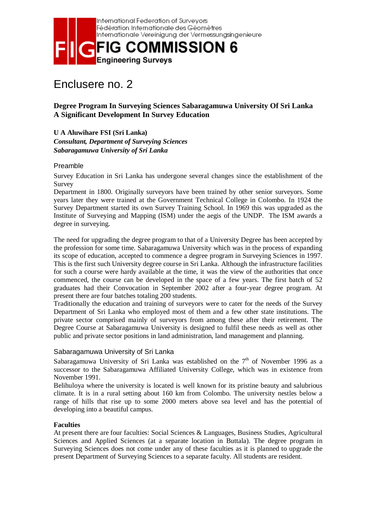

## Enclusere no. 2

**Degree Program In Surveying Sciences Sabaragamuwa University Of Sri Lanka A Significant Development In Survey Education** 

**U A Aluwihare FSI (Sri Lanka)**  *Consultant, Department of Surveying Sciences Sabaragamuwa University of Sri Lanka* 

#### Preamble

Survey Education in Sri Lanka has undergone several changes since the establishment of the Survey

Department in 1800. Originally surveyors have been trained by other senior surveyors. Some years later they were trained at the Government Technical College in Colombo. In 1924 the Survey Department started its own Survey Training School. In 1969 this was upgraded as the Institute of Surveying and Mapping (ISM) under the aegis of the UNDP. The ISM awards a degree in surveying.

The need for upgrading the degree program to that of a University Degree has been accepted by the profession for some time. Sabaragamuwa University which was in the process of expanding its scope of education, accepted to commence a degree program in Surveying Sciences in 1997. This is the first such University degree course in Sri Lanka. Although the infrastructure facilities for such a course were hardy available at the time, it was the view of the authorities that once commenced, the course can be developed in the space of a few years. The first batch of 52 graduates had their Convocation in September 2002 after a four-year degree program. At present there are four batches totaling 200 students.

Traditionally the education and training of surveyors were to cater for the needs of the Survey Department of Sri Lanka who employed most of them and a few other state institutions. The private sector comprised mainly of surveyors from among these after their retirement. The Degree Course at Sabaragamuwa University is designed to fulfil these needs as well as other public and private sector positions in land administration, land management and planning.

#### Sabaragamuwa University of Sri Lanka

Sabaragamuwa University of Sri Lanka was established on the  $7<sup>th</sup>$  of November 1996 as a successor to the Sabaragamuwa Affiliated University College, which was in existence from November 1991.

Belihuloya where the university is located is well known for its pristine beauty and salubrious climate. It is in a rural setting about 160 km from Colombo. The university nestles below a range of hills that rise up to some 2000 meters above sea level and has the potential of developing into a beautiful campus.

#### **Faculties**

At present there are four faculties: Social Sciences & Languages, Business Studies, Agricultural Sciences and Applied Sciences (at a separate location in Buttala). The degree program in Surveying Sciences does not come under any of these faculties as it is planned to upgrade the present Department of Surveying Sciences to a separate faculty. All students are resident.